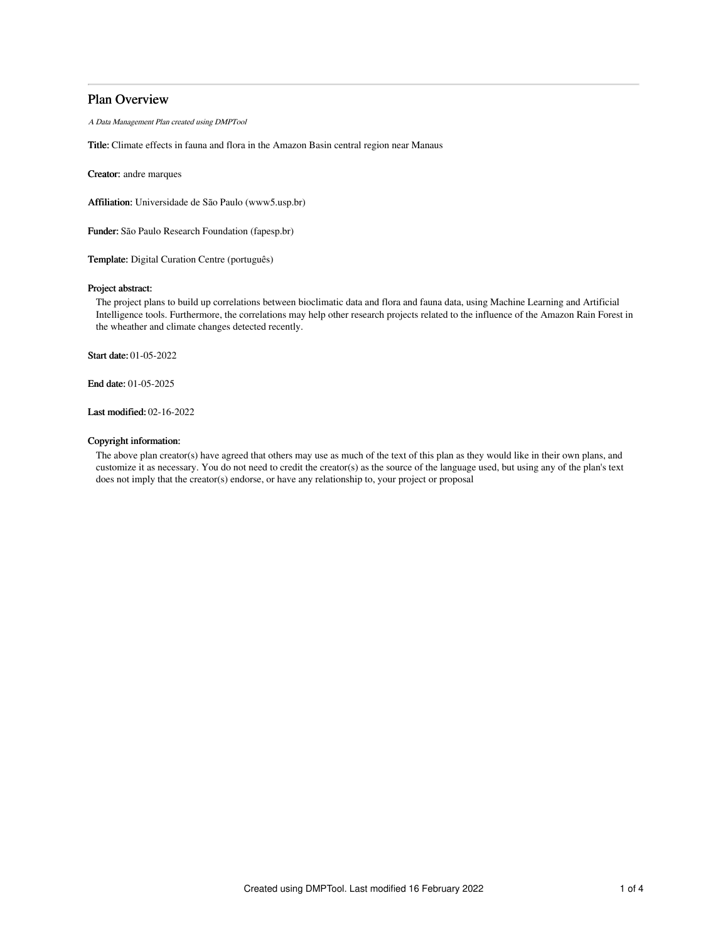# Plan Overview

A Data Management Plan created using DMPTool

Title: Climate effects in fauna and flora in the Amazon Basin central region near Manaus

Creator: andre marques

Affiliation: Universidade de São Paulo (www5.usp.br)

Funder: São Paulo Research Foundation (fapesp.br)

Template: Digital Curation Centre (português)

# Project abstract:

The project plans to build up correlations between bioclimatic data and flora and fauna data, using Machine Learning and Artificial Intelligence tools. Furthermore, the correlations may help other research projects related to the influence of the Amazon Rain Forest in the wheather and climate changes detected recently.

Start date: 01-05-2022

End date: 01-05-2025

Last modified: 02-16-2022

## Copyright information:

The above plan creator(s) have agreed that others may use as much of the text of this plan as they would like in their own plans, and customize it as necessary. You do not need to credit the creator(s) as the source of the language used, but using any of the plan's text does not imply that the creator(s) endorse, or have any relationship to, your project or proposal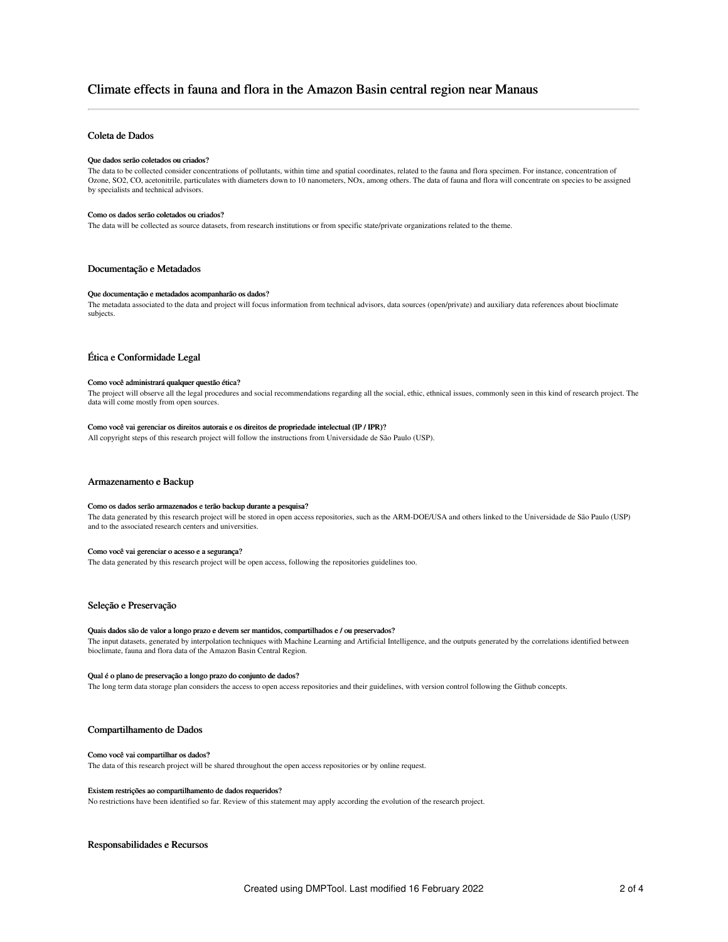# Climate effects in fauna and flora in the Amazon Basin central region near Manaus

# Coleta de Dados

### Que dados serão coletados ou criados?

The data to be collected consider concentrations of pollutants, within time and spatial coordinates, related to the fauna and flora specimen. For instance, concentration of Ozone, SO2, CO, acetonitrile, particulates with diameters down to 10 nanometers, NOx, among others. The data of fauna and flora will concentrate on species to be assigned by specialists and technical advisors.

#### Como os dados serão coletados ou criados?

The data will be collected as source datasets, from research institutions or from specific state/private organizations related to the theme.

## Documentação e Metadados

## Que documentação e metadados acompanharão os dados?

The metadata associated to the data and project will focus information from technical advisors, data sources (open/private) and auxiliary data references about bioclimate subjects.

## Ética e Conformidade Legal

#### Como você administrará qualquer questão ética?

The project will observe all the legal procedures and social recommendations regarding all the social, ethic, ethnical issues, commonly seen in this kind of research project. The data will come mostly from open sources.

# Como você vai gerenciar os direitos autorais e os direitos de propriedade intelectual (IP / IPR)?

All copyright steps of this research project will follow the instructions from Universidade de São Paulo (USP).

## Armazenamento e Backup

#### Como os dados serão armazenados e terão backup durante a pesquisa?

The data generated by this research project will be stored in open access repositories, such as the ARM-DOE/USA and others linked to the Universidade de São Paulo (USP) and to the associated research centers and universities.

#### Como você vai gerenciar o acesso e a segurança?

The data generated by this research project will be open access, following the repositories guidelines too.

## Seleção e Preservação

#### Quais dados são de valor a longo prazo e devem ser mantidos, compartilhados e / ou preservados?

The input datasets, generated by interpolation techniques with Machine Learning and Artificial Intelligence, and the outputs generated by the correlations identified between bioclimate, fauna and flora data of the Amazon Basin Central Region.

#### Qual é o plano de preservação a longo prazo do conjunto de dados?

The long term data storage plan considers the access to open access repositories and their guidelines, with version control following the Github concepts.

## Compartilhamento de Dados

#### Como você vai compartilhar os dados?

The data of this research project will be shared throughout the open access repositories or by online request.

#### Existem restrições ao compartilhamento de dados requeridos?

No restrictions have been identified so far. Review of this statement may apply according the evolution of the research project.

## Responsabilidades e Recursos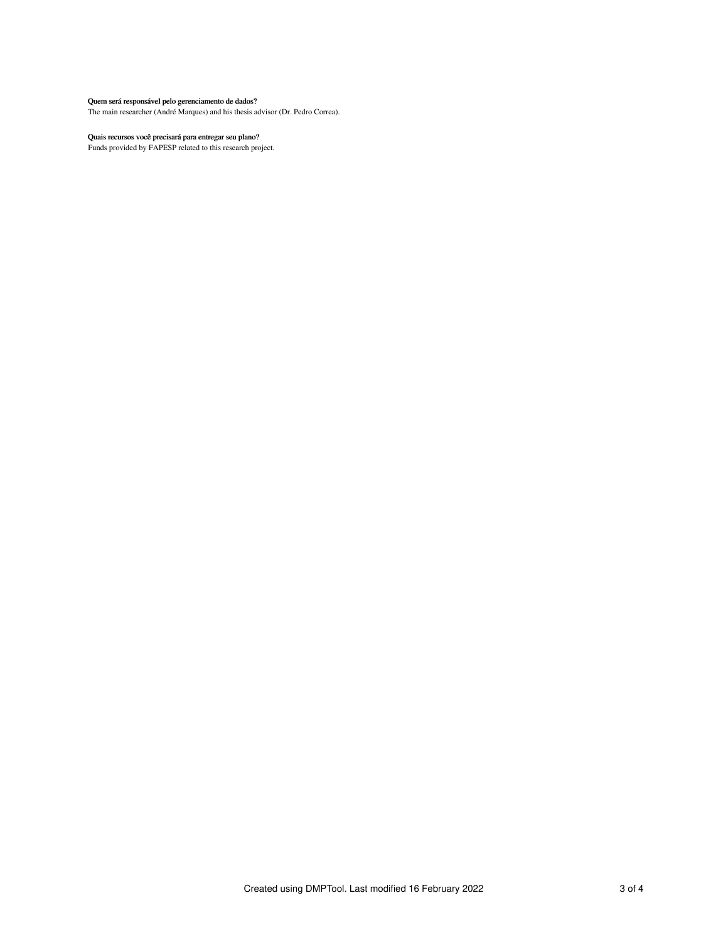## Quem será responsável pelo gerenciamento de dados?

The main researcher (André Marques) and his thesis advisor (Dr. Pedro Correa).

#### Quais recursos você precisará para entregar seu plano?

Funds provided by FAPESP related to this research project.